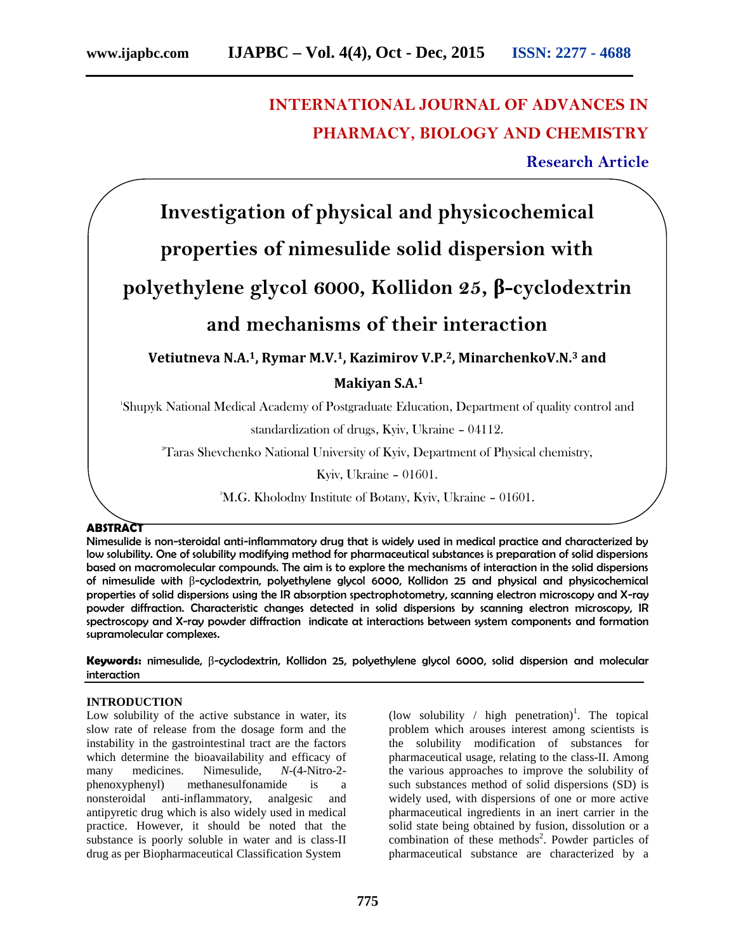# **INTERNATIONAL JOURNAL OF ADVANCES IN PHARMACY, BIOLOGY AND CHEMISTRY**

### **Research Article**

**Investigation of physical and physicochemical**

## **properties of nimesulide solid dispersion with**

**polyethylene glycol 6000, Kollidon 25, -cyclodextrin**

### **and mechanisms of their interaction**

**Vetiutneva N.A.1, Rymar M.V.1, Kazimirov V.P.2, MinarchenkoV.N.<sup>3</sup> and**

**Makiyan S.A.<sup>1</sup>**

<sup>1</sup>Shupyk National Medical Academy of Postgraduate Education, Department of quality control and

standardization of drugs, Kyiv, Ukraine – 04112.

<sup>2</sup>Taras Shevchenko National University of Kyiv, Department of Physical chemistry,

Kyiv, Ukraine – 01601.

<sup>3</sup>M.G. Kholodny Institute of Botany, Kyiv, Ukraine – 01601.

#### **ABSTRACT**

Nimesulide is non-steroidal anti-inflammatory drug that is widely used in medical practice and characterized by low solubility. One of solubility modifying method for pharmaceutical substances is preparation of solid dispersions based on macromolecular compounds. The aim is to explore the mechanisms of interaction in the solid dispersions of nimesulide with -cyclodextrin, polyethylene glycol 6000, Kollidon 25 and physical and physicochemical properties of solid dispersions using the IR absorption spectrophotometry, scanning electron microscopy and X-ray powder diffraction. Characteristic changes detected in solid dispersions by scanning electron microscopy, IR spectroscopy and X-ray powder diffraction indicate at interactions between system components and formation supramolecular complexes.

**Keywords:** nimesulide, -cyclodextrin, Kollidon 25, polyethylene glycol 6000, solid dispersion and molecular interaction

#### **INTRODUCTION**

Low solubility of the active substance in water, its slow rate of release from the dosage form and the instability in the gastrointestinal tract are the factors which determine the bioavailability and efficacy of many medicines. Nimesulide, *N*-(4-Nitro-2 phenoxyphenyl) methanesulfonamide is a nonsteroidal anti-inflammatory, analgesic and antipyretic drug which is also widely used in medical practice. However, it should be noted that the substance is poorly soluble in water and is class-II drug as per Biopharmaceutical Classification System

(low solubility / high penetration)<sup>1</sup>. The topical problem which arouses interest among scientists is the solubility modification of substances for pharmaceutical usage, relating to the class-II. Among the various approaches to improve the solubility of such substances method of solid dispersions (SD) is widely used, with dispersions of one or more active pharmaceutical ingredients in an inert carrier in the solid state being obtained by fusion, dissolution or a combination of these methods<sup>2</sup>. Powder particles of pharmaceutical substance are characterized by a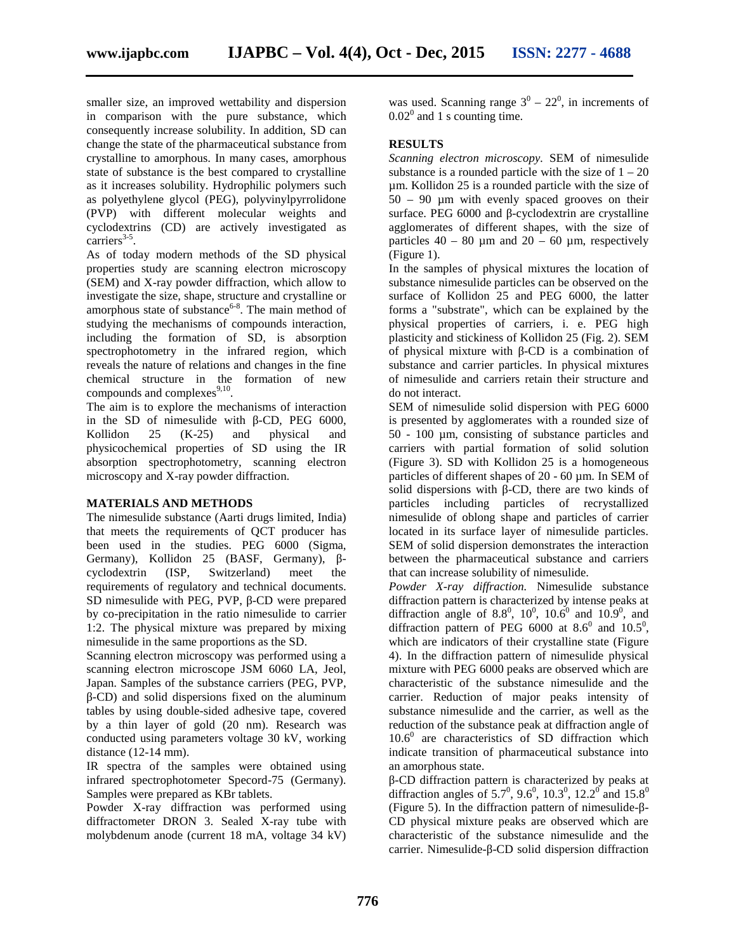smaller size, an improved wettability and dispersion in comparison with the pure substance, which consequently increase solubility. In addition, SD can change the state of the pharmaceutical substance from crystalline to amorphous. In many cases, amorphous state of substance is the best compared to crystalline as it increases solubility. Hydrophilic polymers such as polyethylene glycol (PEG), polyvinylpyrrolidone (PVP) with different molecular weights and cyclodextrins (CD) are actively investigated as  $carriers$ <sup>3-5</sup>.

As of today modern methods of the SD physical properties study are scanning electron microscopy (SEM) and X-ray powder diffraction, which allow to investigate the size, shape, structure and crystalline or amorphous state of substance $6-8$ . The main method of studying the mechanisms of compounds interaction, including the formation of SD, is absorption spectrophotometry in the infrared region, which reveals the nature of relations and changes in the fine chemical structure in the formation of new compounds and complexes $^{9,10}$ .

The aim is to explore the mechanisms of interaction in the SD of nimesulide with -CD, PEG 6000, Kollidon 25 (K-25) and physical and physicochemical properties of SD using the IR absorption spectrophotometry, scanning electron microscopy and X-ray powder diffraction.

#### **MATERIALS AND METHODS**

The nimesulide substance (Aarti drugs limited, India) that meets the requirements of QCT producer has been used in the studies. PEG 6000 (Sigma, Germany), Kollidon 25 (BASF, Germany), cyclodextrin (ISP, Switzerland) meet the requirements of regulatory and technical documents. SD nimesulide with PEG, PVP, -CD were prepared by co-precipitation in the ratio nimesulide to carrier 1:2. The physical mixture was prepared by mixing nimesulide in the same proportions as the SD.

Scanning electron microscopy was performed using a scanning electron microscope JSM 6060 LA, Jeol, Japan. Samples of the substance carriers (PEG, PVP,

-CD) and solid dispersions fixed on the aluminum tables by using double-sided adhesive tape, covered by a thin layer of gold (20 nm). Research was conducted using parameters voltage 30 kV, working distance (12-14 mm).

IR spectra of the samples were obtained using infrared spectrophotometer Specord-75 (Germany). Samples were prepared as KBr tablets.

Powder X-ray diffraction was performed using diffractometer DRON 3. Sealed X-ray tube with molybdenum anode (current 18 mA, voltage 34 kV)

was used. Scanning range  $3^0 - 22^0$ , in increments of  $0.02<sup>0</sup>$  and 1 s counting time.

#### **RESULTS**

*Scanning electron microscopy.* SEM of nimesulide substance is a rounded particle with the size of  $1 - 20$ µm. Kollidon 25 is a rounded particle with the size of  $50 - 90$  µm with evenly spaced grooves on their surface. PEG 6000 and -cyclodextrin are crystalline agglomerates of different shapes, with the size of particles  $40 - 80 \mu m$  and  $20 - 60 \mu m$ , respectively (Figure 1).

In the samples of physical mixtures the location of substance nimesulide particles can be observed on the surface of Kollidon 25 and PEG 6000, the latter forms a "substrate", which can be explained by the physical properties of carriers, i. e. PEG high plasticity and stickiness of Kollidon 25 (Fig. 2). SEM of physical mixture with -CD is a combination of substance and carrier particles. In physical mixtures of nimesulide and carriers retain their structure and do not interact.

SEM of nimesulide solid dispersion with PEG 6000 is presented by agglomerates with a rounded size of 50 - 100 µm, consisting of substance particles and carriers with partial formation of solid solution (Figure 3). SD with Kollidon 25 is a homogeneous particles of different shapes of 20 - 60 µm. In SEM of solid dispersions with -CD, there are two kinds of particles including particles of recrystallized nimesulide of oblong shape and particles of carrier located in its surface layer of nimesulide particles. SEM of solid dispersion demonstrates the interaction between the pharmaceutical substance and carriers that can increase solubility of nimesulide.

*Powder X-ray diffraction.* Nimesulide substance diffraction pattern is characterized by intense peaks at diffraction angle of 8.8<sup>0</sup>, 10<sup>0</sup>, 10.6<sup>0</sup> and 10.9<sup>0</sup>, and diffraction pattern of PEG 6000 at  $8.6^{\circ}$  and  $10.5^{\circ}$ , which are indicators of their crystalline state (Figure 4). In the diffraction pattern of nimesulide physical mixture with PEG 6000 peaks are observed which are characteristic of the substance nimesulide and the carrier. Reduction of major peaks intensity of substance nimesulide and the carrier, as well as the reduction of the substance peak at diffraction angle of  $10.6<sup>0</sup>$  are characteristics of SD diffraction which indicate transition of pharmaceutical substance into an amorphous state.

-CD diffraction pattern is characterized by peaks at diffraction angles of 5.7<sup>0</sup>, 9.6<sup>0</sup>, 10.3<sup>0</sup>, 12.2<sup>0</sup> and 15.8<sup>0</sup> (Figure 5). In the diffraction pattern of nimesulide- - CD physical mixture peaks are observed which are characteristic of the substance nimesulide and the carrier. Nimesulide- -CD solid dispersion diffraction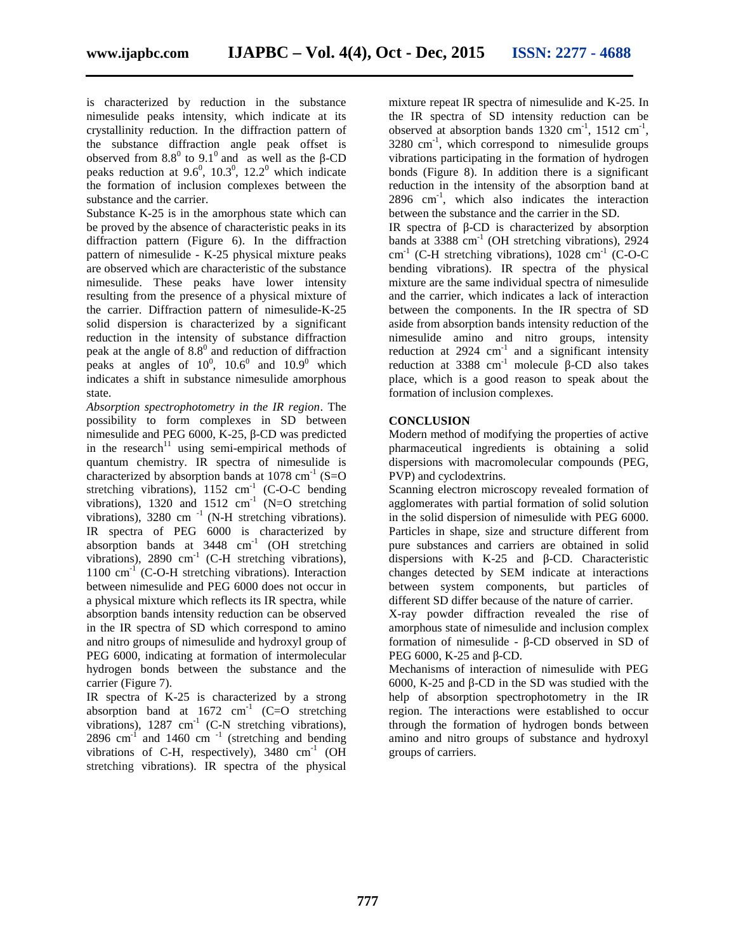is characterized by reduction in the substance nimesulide peaks intensity, which indicate at its crystallinity reduction. In the diffraction pattern of the substance diffraction angle peak offset is observed from  $8.8^{\circ}$  to  $9.1^{\circ}$  and as well as the -CD vibra peaks reduction at  $9.6^0$ ,  $10.3^0$ ,  $12.2^0$  which indicate the formation of inclusion complexes between the substance and the carrier.

Substance K-25 is in the amorphous state which can be proved by the absence of characteristic peaks in its diffraction pattern (Figure 6). In the diffraction pattern of nimesulide - K-25 physical mixture peaks are observed which are characteristic of the substance nimesulide. These peaks have lower intensity resulting from the presence of a physical mixture of the carrier. Diffraction pattern of nimesulide-K-25 solid dispersion is characterized by a significant reduction in the intensity of substance diffraction peak at the angle of  $8.8^{\circ}$  and reduction of diffraction peaks at angles of  $10^0$ ,  $10.6^0$  and  $10.9^0$  which indicates a shift in substance nimesulide amorphous state.

*Absorption spectrophotometry in the IR region*. The possibility to form complexes in SD between nimesulide and PEG 6000, K-25, -CD was predicted in the research<sup>11</sup> using semi-empirical methods of quantum chemistry. IR spectra of nimesulide is characterized by absorption bands at  $1078 \text{ cm}^{-1}$  (S=O) stretching vibrations),  $1152 \text{ cm}^{-1}$  (C-O-C bending vibrations), 1320 and 1512  $\text{cm}^{-1}$  (N=O stretching  $\cdot$ vibrations),  $3280 \text{ cm}^{-1}$  (N-H stretching vibrations). IR spectra of PEG 6000 is characterized by absorption bands at  $3448$  cm<sup>-1</sup> (OH stretching vibrations),  $2890 \text{ cm}^{-1}$  (C-H stretching vibrations),  $1100 \text{ cm}^{-1}$  (C-O-H stretching vibrations). Interaction between nimesulide and PEG 6000 does not occur in a physical mixture which reflects its IR spectra, while absorption bands intensity reduction can be observed in the IR spectra of SD which correspond to amino and nitro groups of nimesulide and hydroxyl group of PEG 6000, indicating at formation of intermolecular hydrogen bonds between the substance and the carrier (Figure 7).

IR spectra of K-25 is characterized by a strong absorption band at  $1672$  cm<sup>-1</sup> (C=O stretching vibrations),  $1287 \text{ cm}^{-1}$  (C-N stretching vibrations), 2896 cm $^{-1}$  and 1460 cm $^{-1}$  (stretching and bending vibrations of C-H, respectively),  $3480 \text{ cm}^{-1}$  (OH stretching vibrations). IR spectra of the physical

mixture repeat IR spectra of nimesulide and K-25. In the IR spectra of SD intensity reduction can be observed at absorption bands  $1320 \text{ cm}^{-1}$ ,  $1512 \text{ cm}^{-1}$ ,  $3280 \text{ cm}^{-1}$ , which correspond to nimesulide groups vibrations participating in the formation of hydrogen bonds (Figure 8). In addition there is a significant reduction in the intensity of the absorption band at 2896 cm-1 , which also indicates the interaction between the substance and the carrier in the SD.

IR spectra of -CD is characterized by absorption bands at 3388 cm<sup>-1</sup> (OH stretching vibrations), 2924  $cm^{-1}$  (C-H stretching vibrations), 1028 cm<sup>-1</sup> (C-O-C bending vibrations). IR spectra of the physical mixture are the same individual spectra of nimesulide and the carrier, which indicates a lack of interaction between the components. In the IR spectra of SD aside from absorption bands intensity reduction of the nimesulide amino and nitro groups, intensity reduction at  $2924 \text{ cm}^{-1}$  and a significant intensity reduction at  $3388 \text{ cm}^{-1}$  molecule -CD also takes place, which is a good reason to speak about the formation of inclusion complexes.

#### **CONCLUSION**

Modern method of modifying the properties of active pharmaceutical ingredients is obtaining a solid dispersions with macromolecular compounds (PEG, PVP) and cyclodextrins.

Scanning electron microscopy revealed formation of agglomerates with partial formation of solid solution in the solid dispersion of nimesulide with PEG 6000. Particles in shape, size and structure different from pure substances and carriers are obtained in solid dispersions with K-25 and -CD. Characteristic changes detected by SEM indicate at interactions between system components, but particles of different SD differ because of the nature of carrier.

X-ray powder diffraction revealed the rise of amorphous state of nimesulide and inclusion complex formation of nimesulide - -CD observed in SD of PEG 6000, K-25 and -CD.

Mechanisms of interaction of nimesulide with PEG 6000, K-25 and -CD in the SD was studied with the help of absorption spectrophotometry in the IR region. The interactions were established to occur through the formation of hydrogen bonds between amino and nitro groups of substance and hydroxyl groups of carriers.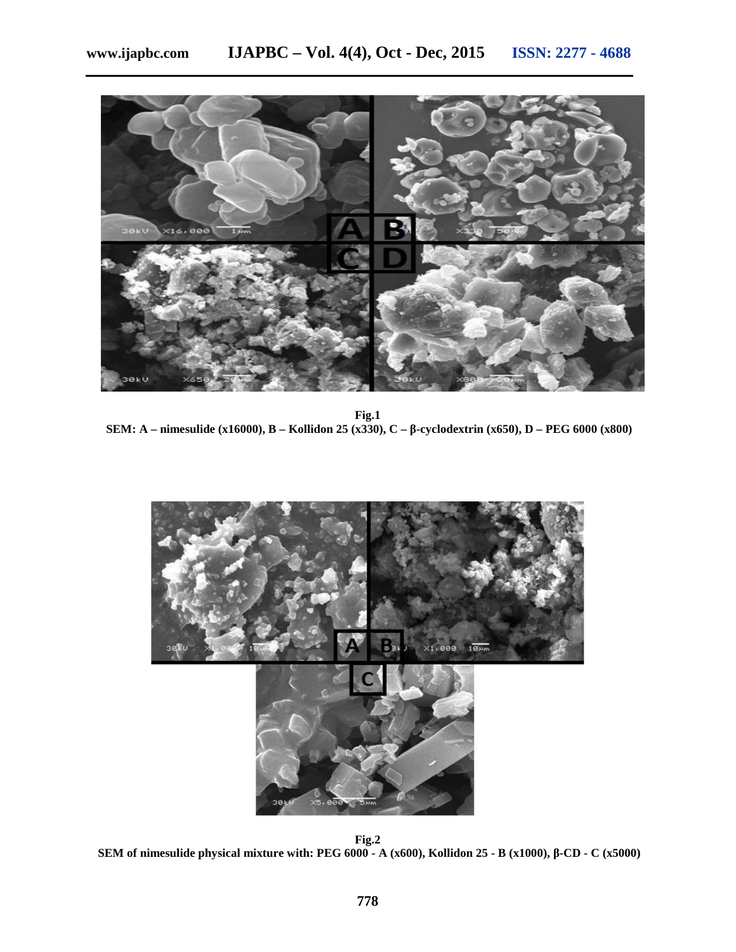

**Fig.1 SEM: A – nimesulide (x16000), B – Kollidon 25 (x330), C – -cyclodextrin (x650), D – PEG 6000 (x800)**



**Fig.2 SEM of nimesulide physical mixture with: PEG 6000 - A (x600), Kollidon 25 - B (x1000), -CD - C (x5000)**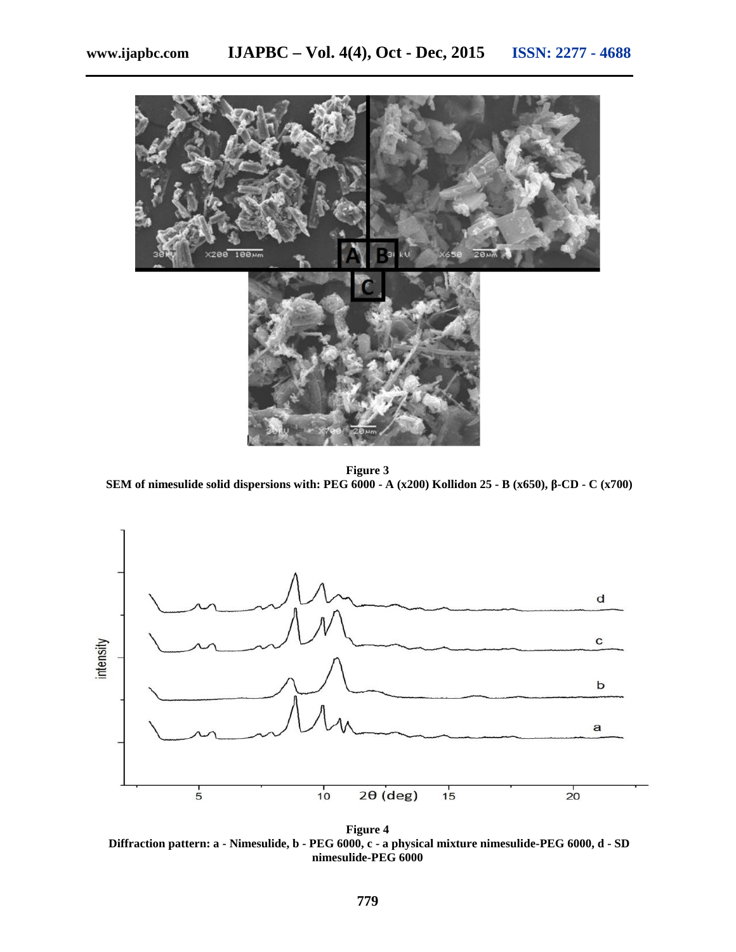

**Figure 3 SEM of nimesulide solid dispersions with: PEG 6000 - A (x200) Kollidon 25 - B (x650), -CD - C (x700)**



**Figure 4 Diffraction pattern: a - Nimesulide, b - PEG 6000, c - a physical mixture nimesulide-PEG 6000, d - SD nimesulide-PEG 6000**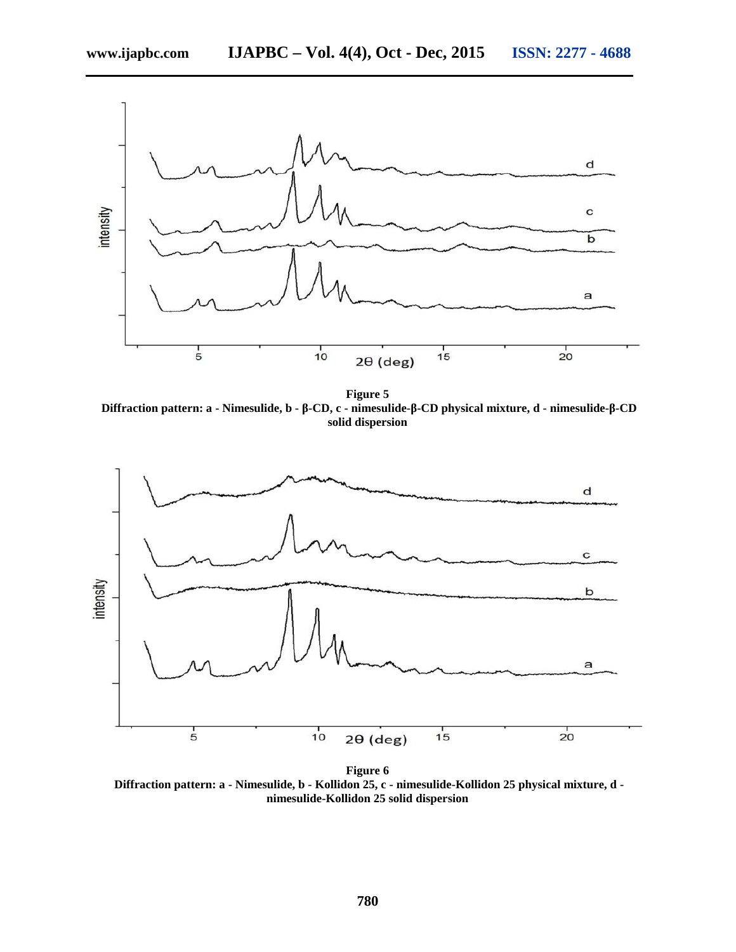**www.ijapbc.com IJAPBC – Vol. 4(4), Oct - Dec, 2015 ISSN: 2277 - 4688**



**Figure 5 Diffraction pattern: a - Nimesulide, b - -CD, c - nimesulide- -CD physical mixture, d - nimesulide- -CD solid dispersion**



**Figure 6 Diffraction pattern: a - Nimesulide, b - Kollidon 25, c - nimesulide-Kollidon 25 physical mixture, d nimesulide-Kollidon 25 solid dispersion**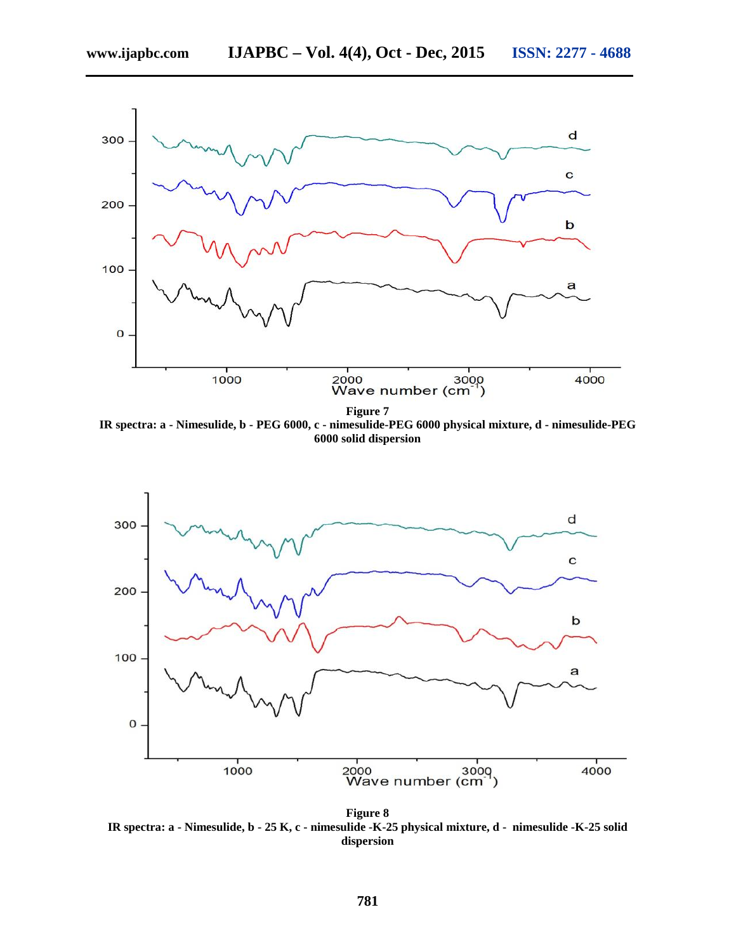

**Figure 7**

**IR spectra: a - Nimesulide, b - PEG 6000, c - nimesulide-PEG 6000 physical mixture, d - nimesulide-PEG 6000 solid dispersion**



**Figure 8 IR spectra: a - Nimesulide, b - 25 K, c - nimesulide -K-25 physical mixture, d - nimesulide -K-25 solid dispersion**